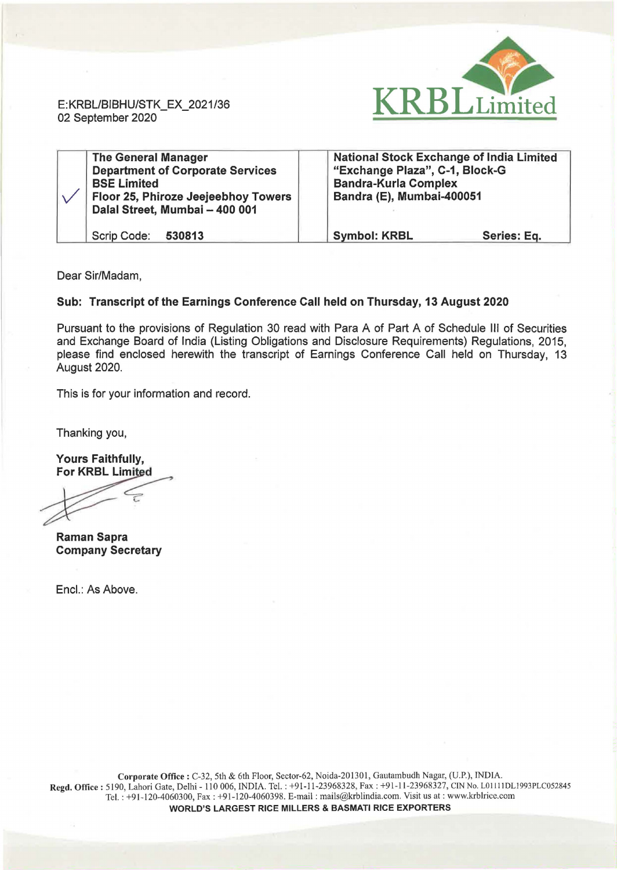

E: KRBL/BIBHU/STK\_EX\_2021 /36 02 September 2020

| <b>The General Manager</b><br><b>Department of Corporate Services</b><br><b>BSE Limited</b><br>Floor 25, Phiroze Jeejeebhoy Towers<br>Dalal Street, Mumbai - 400 001 | <b>National Stock Exchange of India Limited</b><br>"Exchange Plaza", C-1, Block-G<br><b>Bandra-Kurla Complex</b><br>Bandra (E), Mumbai-400051 |             |
|----------------------------------------------------------------------------------------------------------------------------------------------------------------------|-----------------------------------------------------------------------------------------------------------------------------------------------|-------------|
| Scrip Code: 530813                                                                                                                                                   | <b>Symbol: KRBL</b>                                                                                                                           | Series: Eq. |

Dear Sir/Madam,

## Sub: Transcript of the Earnings Conference Call held on Thursday, 13 August 2020

Pursuant to the provisions of Regulation 30 read with Para A of Part A of Schedule Ill of Securities and Exchange Board of India (Listing Obligations and Disclosure Requirements) Regulations, 2015, please find enclosed herewith the transcript of Earnings Conference Call held on Thursday, 13 August 2020.

This is for your information and record.

Thanking you,

Yours Faithfully, For KRBL Limited

 $\overline{\mathcal{L}}$ 

Raman Sapra Company Secretary

Encl.: As Above.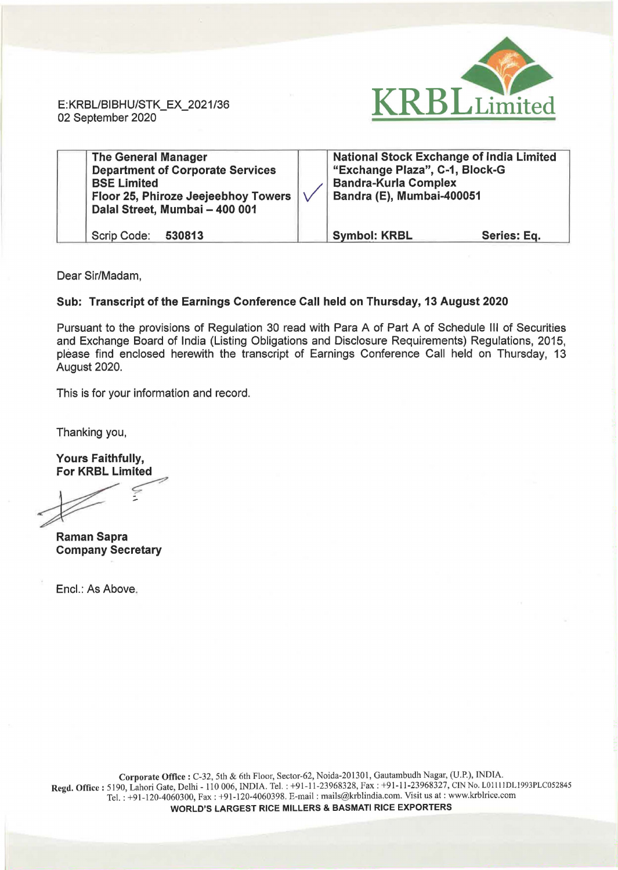**RELE**imited

E:KRBUBIBHU/STK\_EX\_2021/36 02 September 2020

| <b>The General Manager</b><br><b>Department of Corporate Services</b><br><b>BSE Limited</b><br>Floor 25, Phiroze Jeejeebhoy Towers<br>Dalal Street, Mumbai - 400 001 |  | <b>National Stock Exchange of India Limited</b><br>"Exchange Plaza", C-1, Block-G<br><b>Bandra-Kurla Complex</b><br>Bandra (E), Mumbai-400051 |             |
|----------------------------------------------------------------------------------------------------------------------------------------------------------------------|--|-----------------------------------------------------------------------------------------------------------------------------------------------|-------------|
| Scrip Code: 530813                                                                                                                                                   |  | <b>Symbol: KRBL</b>                                                                                                                           | Series: Eq. |

Dear Sir/Madam,

## Sub: Transcript of the Earnings Conference Call held on Thursday, 13 August 2020

Pursuant to the provisions of Regulation 30 read with Para A of Part A of Schedule Ill of Securities and Exchange Board of India (Listing Obligations and Disclosure Requirements) Regulations, 2015, please find enclosed herewith the transcript of Earnings Conference Call held on Thursday, 13 August 2020.

This is for your information and record.

Thanking you,

Yours Faithfully,<br>For KRBL Limited

Thanking you,<br>Thanking you,<br>Yours Faithfully,<br>For KRBL Limited<br>Aman Sapra

Raman Sapra Company Secretary

Encl.: As Above.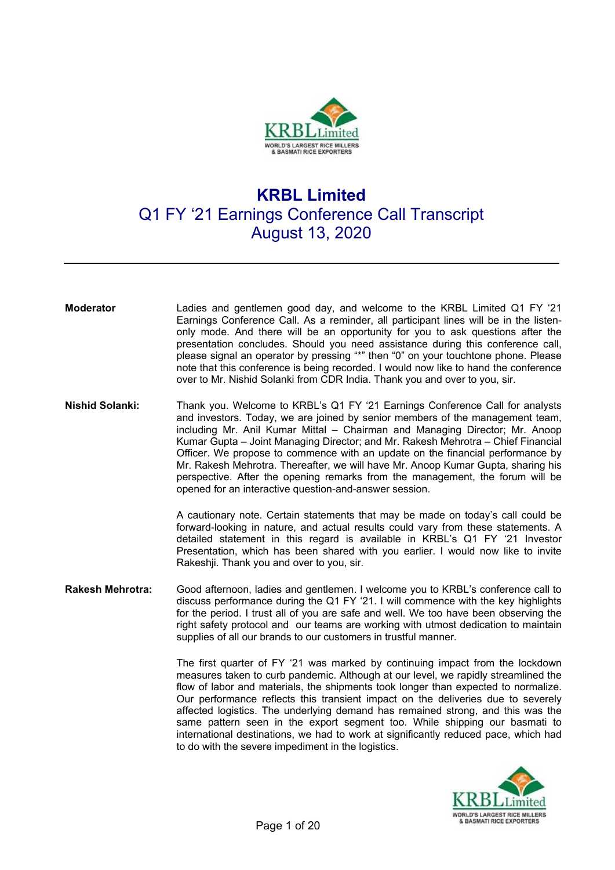

## **KRBL Limited**  Q1 FY '21 Earnings Conference Call Transcript August 13, 2020

- **Moderator** Ladies and gentlemen good day, and welcome to the KRBL Limited Q1 FY '21 Earnings Conference Call. As a reminder, all participant lines will be in the listenonly mode. And there will be an opportunity for you to ask questions after the presentation concludes. Should you need assistance during this conference call, please signal an operator by pressing "\*" then "0" on your touchtone phone. Please note that this conference is being recorded. I would now like to hand the conference over to Mr. Nishid Solanki from CDR India. Thank you and over to you, sir.
- **Nishid Solanki:** Thank you. Welcome to KRBL's Q1 FY '21 Earnings Conference Call for analysts and investors. Today, we are joined by senior members of the management team, including Mr. Anil Kumar Mittal – Chairman and Managing Director; Mr. Anoop Kumar Gupta – Joint Managing Director; and Mr. Rakesh Mehrotra – Chief Financial Officer. We propose to commence with an update on the financial performance by Mr. Rakesh Mehrotra. Thereafter, we will have Mr. Anoop Kumar Gupta, sharing his perspective. After the opening remarks from the management, the forum will be opened for an interactive question-and-answer session.

A cautionary note. Certain statements that may be made on today's call could be forward-looking in nature, and actual results could vary from these statements. A detailed statement in this regard is available in KRBL's Q1 FY '21 Investor Presentation, which has been shared with you earlier. I would now like to invite Rakeshji. Thank you and over to you, sir.

**Rakesh Mehrotra:** Good afternoon, ladies and gentlemen. I welcome you to KRBL's conference call to discuss performance during the Q1 FY '21. I will commence with the key highlights for the period. I trust all of you are safe and well. We too have been observing the right safety protocol and our teams are working with utmost dedication to maintain supplies of all our brands to our customers in trustful manner.

> The first quarter of FY '21 was marked by continuing impact from the lockdown measures taken to curb pandemic. Although at our level, we rapidly streamlined the flow of labor and materials, the shipments took longer than expected to normalize. Our performance reflects this transient impact on the deliveries due to severely affected logistics. The underlying demand has remained strong, and this was the same pattern seen in the export segment too. While shipping our basmati to international destinations, we had to work at significantly reduced pace, which had to do with the severe impediment in the logistics.

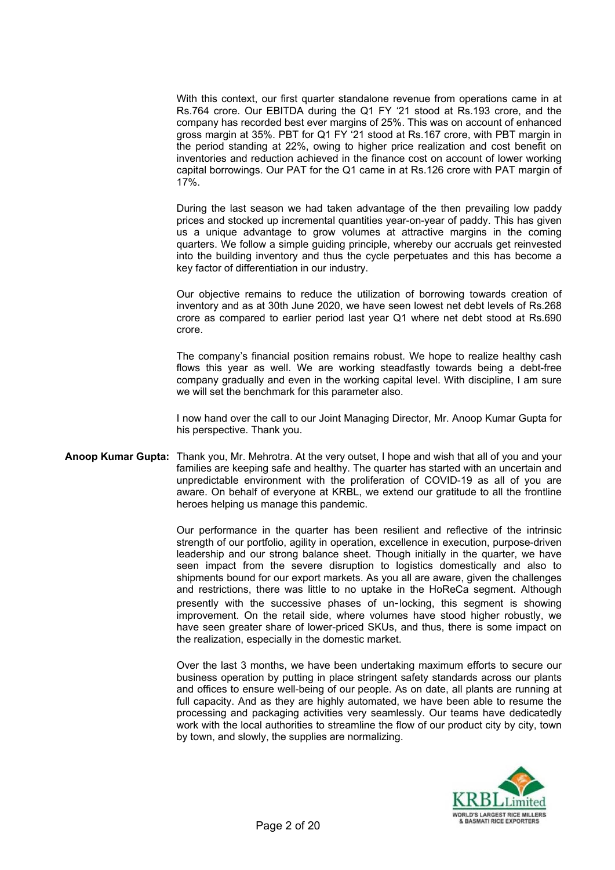With this context, our first quarter standalone revenue from operations came in at Rs.764 crore. Our EBITDA during the Q1 FY '21 stood at Rs.193 crore, and the company has recorded best ever margins of 25%. This was on account of enhanced gross margin at 35%. PBT for Q1 FY '21 stood at Rs.167 crore, with PBT margin in the period standing at 22%, owing to higher price realization and cost benefit on inventories and reduction achieved in the finance cost on account of lower working capital borrowings. Our PAT for the Q1 came in at Rs.126 crore with PAT margin of 17%.

During the last season we had taken advantage of the then prevailing low paddy prices and stocked up incremental quantities year-on-year of paddy. This has given us a unique advantage to grow volumes at attractive margins in the coming quarters. We follow a simple guiding principle, whereby our accruals get reinvested into the building inventory and thus the cycle perpetuates and this has become a key factor of differentiation in our industry.

Our objective remains to reduce the utilization of borrowing towards creation of inventory and as at 30th June 2020, we have seen lowest net debt levels of Rs.268 crore as compared to earlier period last year Q1 where net debt stood at Rs.690 crore.

The company's financial position remains robust. We hope to realize healthy cash flows this year as well. We are working steadfastly towards being a debt-free company gradually and even in the working capital level. With discipline, I am sure we will set the benchmark for this parameter also.

I now hand over the call to our Joint Managing Director, Mr. Anoop Kumar Gupta for his perspective. Thank you.

**Anoop Kumar Gupta:** Thank you, Mr. Mehrotra. At the very outset, I hope and wish that all of you and your families are keeping safe and healthy. The quarter has started with an uncertain and unpredictable environment with the proliferation of COVID-19 as all of you are aware. On behalf of everyone at KRBL, we extend our gratitude to all the frontline heroes helping us manage this pandemic.

> Our performance in the quarter has been resilient and reflective of the intrinsic strength of our portfolio, agility in operation, excellence in execution, purpose-driven leadership and our strong balance sheet. Though initially in the quarter, we have seen impact from the severe disruption to logistics domestically and also to shipments bound for our export markets. As you all are aware, given the challenges and restrictions, there was little to no uptake in the HoReCa segment. Although presently with the successive phases of un-locking, this segment is showing improvement. On the retail side, where volumes have stood higher robustly, we have seen greater share of lower-priced SKUs, and thus, there is some impact on the realization, especially in the domestic market.

> Over the last 3 months, we have been undertaking maximum efforts to secure our business operation by putting in place stringent safety standards across our plants and offices to ensure well-being of our people. As on date, all plants are running at full capacity. And as they are highly automated, we have been able to resume the processing and packaging activities very seamlessly. Our teams have dedicatedly work with the local authorities to streamline the flow of our product city by city, town by town, and slowly, the supplies are normalizing.

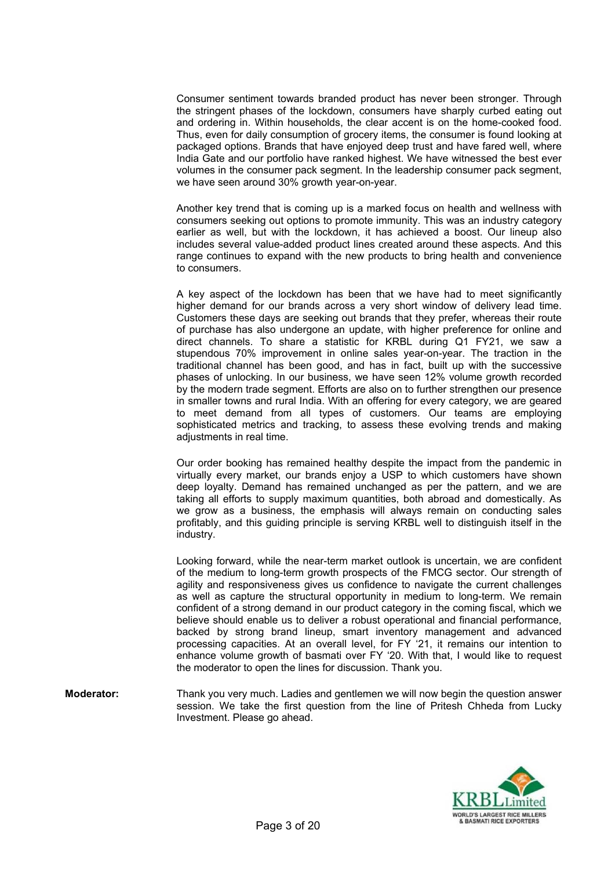Consumer sentiment towards branded product has never been stronger. Through the stringent phases of the lockdown, consumers have sharply curbed eating out and ordering in. Within households, the clear accent is on the home-cooked food. Thus, even for daily consumption of grocery items, the consumer is found looking at packaged options. Brands that have enjoyed deep trust and have fared well, where India Gate and our portfolio have ranked highest. We have witnessed the best ever volumes in the consumer pack segment. In the leadership consumer pack segment, we have seen around 30% growth year-on-year.

Another key trend that is coming up is a marked focus on health and wellness with consumers seeking out options to promote immunity. This was an industry category earlier as well, but with the lockdown, it has achieved a boost. Our lineup also includes several value-added product lines created around these aspects. And this range continues to expand with the new products to bring health and convenience to consumers.

A key aspect of the lockdown has been that we have had to meet significantly higher demand for our brands across a very short window of delivery lead time. Customers these days are seeking out brands that they prefer, whereas their route of purchase has also undergone an update, with higher preference for online and direct channels. To share a statistic for KRBL during Q1 FY21, we saw a stupendous 70% improvement in online sales year-on-year. The traction in the traditional channel has been good, and has in fact, built up with the successive phases of unlocking. In our business, we have seen 12% volume growth recorded by the modern trade segment. Efforts are also on to further strengthen our presence in smaller towns and rural India. With an offering for every category, we are geared to meet demand from all types of customers. Our teams are employing sophisticated metrics and tracking, to assess these evolving trends and making adiustments in real time.

 Our order booking has remained healthy despite the impact from the pandemic in virtually every market, our brands enjoy a USP to which customers have shown deep loyalty. Demand has remained unchanged as per the pattern, and we are taking all efforts to supply maximum quantities, both abroad and domestically. As we grow as a business, the emphasis will always remain on conducting sales profitably, and this guiding principle is serving KRBL well to distinguish itself in the industry.

Looking forward, while the near-term market outlook is uncertain, we are confident of the medium to long-term growth prospects of the FMCG sector. Our strength of agility and responsiveness gives us confidence to navigate the current challenges as well as capture the structural opportunity in medium to long-term. We remain confident of a strong demand in our product category in the coming fiscal, which we believe should enable us to deliver a robust operational and financial performance, backed by strong brand lineup, smart inventory management and advanced processing capacities. At an overall level, for FY '21, it remains our intention to enhance volume growth of basmati over FY '20. With that, I would like to request the moderator to open the lines for discussion. Thank you.

**Moderator:** Thank you very much. Ladies and gentlemen we will now begin the question answer session. We take the first question from the line of Pritesh Chheda from Lucky Investment. Please go ahead.

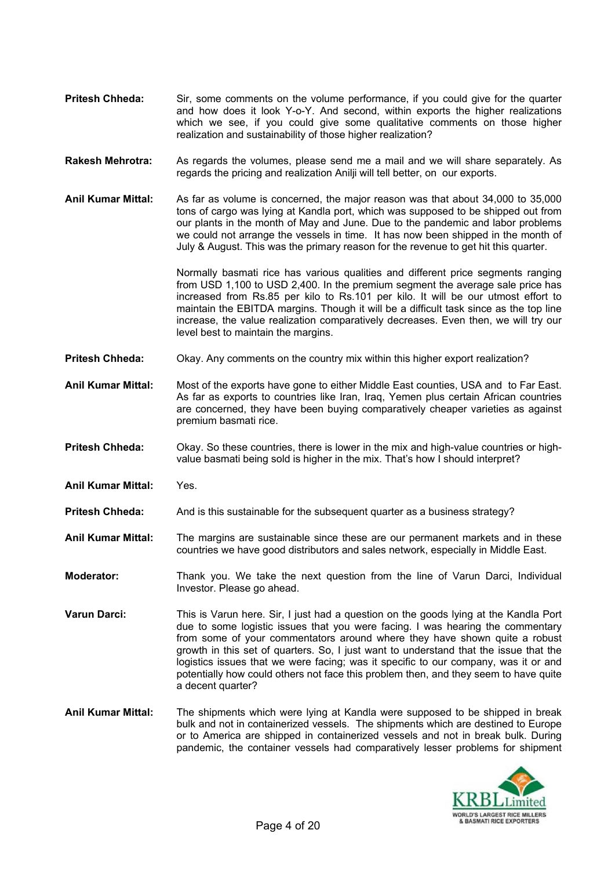- **Pritesh Chheda:** Sir, some comments on the volume performance, if you could give for the quarter and how does it look Y-o-Y. And second, within exports the higher realizations which we see, if you could give some qualitative comments on those higher realization and sustainability of those higher realization?
- **Rakesh Mehrotra:** As regards the volumes, please send me a mail and we will share separately. As regards the pricing and realization Anilji will tell better, on our exports.
- **Anil Kumar Mittal:** As far as volume is concerned, the major reason was that about 34,000 to 35,000 tons of cargo was lying at Kandla port, which was supposed to be shipped out from our plants in the month of May and June. Due to the pandemic and labor problems we could not arrange the vessels in time. It has now been shipped in the month of July & August. This was the primary reason for the revenue to get hit this quarter.

Normally basmati rice has various qualities and different price segments ranging from USD 1,100 to USD 2,400. In the premium segment the average sale price has increased from Rs.85 per kilo to Rs.101 per kilo. It will be our utmost effort to maintain the EBITDA margins. Though it will be a difficult task since as the top line increase, the value realization comparatively decreases. Even then, we will try our level best to maintain the margins.

- **Pritesh Chheda:** Okay. Any comments on the country mix within this higher export realization?
- **Anil Kumar Mittal:** Most of the exports have gone to either Middle East counties, USA and to Far East. As far as exports to countries like Iran, Iraq, Yemen plus certain African countries are concerned, they have been buying comparatively cheaper varieties as against premium basmati rice.
- **Pritesh Chheda:** Okay. So these countries, there is lower in the mix and high-value countries or highvalue basmati being sold is higher in the mix. That's how I should interpret?
- **Anil Kumar Mittal:** Yes.
- **Pritesh Chheda:** And is this sustainable for the subsequent quarter as a business strategy?
- **Anil Kumar Mittal:** The margins are sustainable since these are our permanent markets and in these countries we have good distributors and sales network, especially in Middle East.
- **Moderator:** Thank you. We take the next question from the line of Varun Darci, Individual Investor. Please go ahead.
- **Varun Darci:** This is Varun here. Sir, I just had a question on the goods lying at the Kandla Port due to some logistic issues that you were facing. I was hearing the commentary from some of your commentators around where they have shown quite a robust growth in this set of quarters. So, I just want to understand that the issue that the logistics issues that we were facing; was it specific to our company, was it or and potentially how could others not face this problem then, and they seem to have quite a decent quarter?
- **Anil Kumar Mittal:** The shipments which were lying at Kandla were supposed to be shipped in break bulk and not in containerized vessels. The shipments which are destined to Europe or to America are shipped in containerized vessels and not in break bulk. During pandemic, the container vessels had comparatively lesser problems for shipment

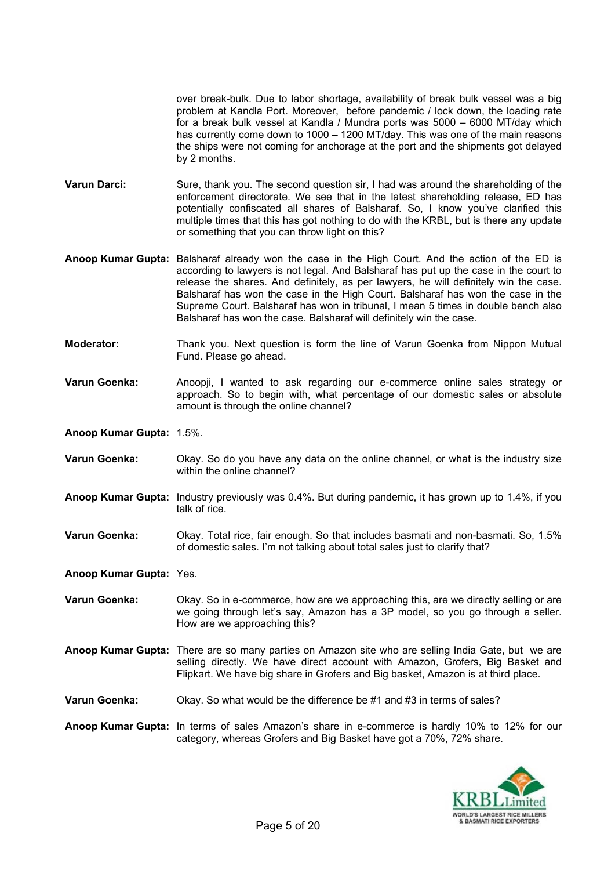over break-bulk. Due to labor shortage, availability of break bulk vessel was a big problem at Kandla Port. Moreover, before pandemic / lock down, the loading rate for a break bulk vessel at Kandla / Mundra ports was 5000 – 6000 MT/day which has currently come down to 1000 – 1200 MT/day. This was one of the main reasons the ships were not coming for anchorage at the port and the shipments got delayed by 2 months.

- **Varun Darci:** Sure, thank you. The second question sir, I had was around the shareholding of the enforcement directorate. We see that in the latest shareholding release, ED has potentially confiscated all shares of Balsharaf. So, I know you've clarified this multiple times that this has got nothing to do with the KRBL, but is there any update or something that you can throw light on this?
- **Anoop Kumar Gupta:** Balsharaf already won the case in the High Court. And the action of the ED is according to lawyers is not legal. And Balsharaf has put up the case in the court to release the shares. And definitely, as per lawyers, he will definitely win the case. Balsharaf has won the case in the High Court. Balsharaf has won the case in the Supreme Court. Balsharaf has won in tribunal, I mean 5 times in double bench also Balsharaf has won the case. Balsharaf will definitely win the case.
- **Moderator:** Thank you. Next question is form the line of Varun Goenka from Nippon Mutual Fund. Please go ahead.
- **Varun Goenka:** Anoopji, I wanted to ask regarding our e-commerce online sales strategy or approach. So to begin with, what percentage of our domestic sales or absolute amount is through the online channel?

**Anoop Kumar Gupta:** 1.5%.

- **Varun Goenka:** Okay. So do you have any data on the online channel, or what is the industry size within the online channel?
- **Anoop Kumar Gupta:** Industry previously was 0.4%. But during pandemic, it has grown up to 1.4%, if you talk of rice.
- **Varun Goenka:** Okay. Total rice, fair enough. So that includes basmati and non-basmati. So, 1.5% of domestic sales. I'm not talking about total sales just to clarify that?

**Anoop Kumar Gupta:** Yes.

- **Varun Goenka:** Okay. So in e-commerce, how are we approaching this, are we directly selling or are we going through let's say, Amazon has a 3P model, so you go through a seller. How are we approaching this?
- **Anoop Kumar Gupta:** There are so many parties on Amazon site who are selling India Gate, but we are selling directly. We have direct account with Amazon, Grofers, Big Basket and Flipkart. We have big share in Grofers and Big basket, Amazon is at third place.
- **Varun Goenka:** Okay. So what would be the difference be #1 and #3 in terms of sales?
- **Anoop Kumar Gupta:** In terms of sales Amazon's share in e-commerce is hardly 10% to 12% for our category, whereas Grofers and Big Basket have got a 70%, 72% share.

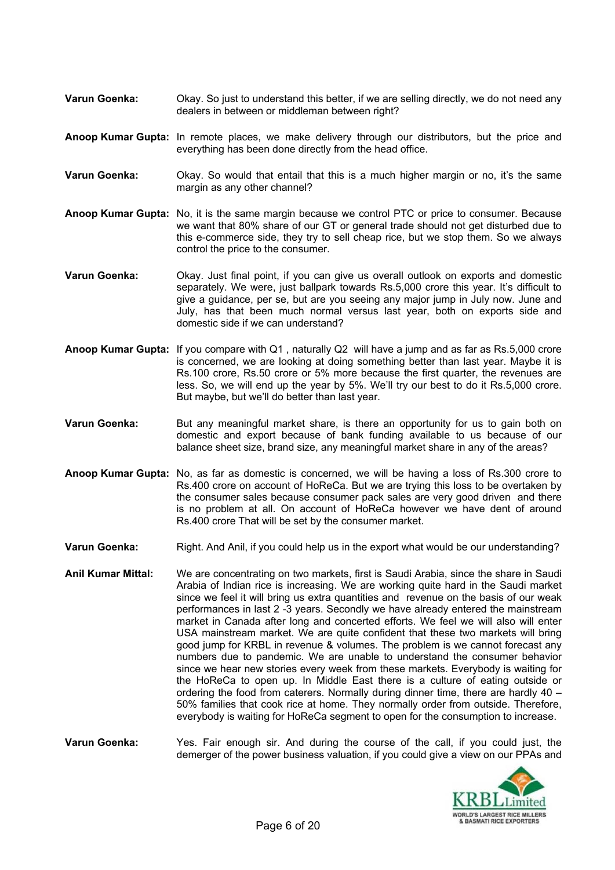- **Varun Goenka:** Okay. So just to understand this better, if we are selling directly, we do not need any dealers in between or middleman between right?
- **Anoop Kumar Gupta:** In remote places, we make delivery through our distributors, but the price and everything has been done directly from the head office.
- **Varun Goenka:** Okay. So would that entail that this is a much higher margin or no, it's the same margin as any other channel?
- **Anoop Kumar Gupta:** No, it is the same margin because we control PTC or price to consumer. Because we want that 80% share of our GT or general trade should not get disturbed due to this e-commerce side, they try to sell cheap rice, but we stop them. So we always control the price to the consumer.
- **Varun Goenka:** Okay. Just final point, if you can give us overall outlook on exports and domestic separately. We were, just ballpark towards Rs.5,000 crore this year. It's difficult to give a guidance, per se, but are you seeing any major jump in July now. June and July, has that been much normal versus last year, both on exports side and domestic side if we can understand?
- **Anoop Kumar Gupta:** If you compare with Q1 , naturally Q2 will have a jump and as far as Rs.5,000 crore is concerned, we are looking at doing something better than last year. Maybe it is Rs.100 crore, Rs.50 crore or 5% more because the first quarter, the revenues are less. So, we will end up the year by 5%. We'll try our best to do it Rs.5,000 crore. But maybe, but we'll do better than last year.
- **Varun Goenka:** But any meaningful market share, is there an opportunity for us to gain both on domestic and export because of bank funding available to us because of our balance sheet size, brand size, any meaningful market share in any of the areas?
- **Anoop Kumar Gupta:** No, as far as domestic is concerned, we will be having a loss of Rs.300 crore to Rs.400 crore on account of HoReCa. But we are trying this loss to be overtaken by the consumer sales because consumer pack sales are very good driven and there is no problem at all. On account of HoReCa however we have dent of around Rs.400 crore That will be set by the consumer market.
- Varun Goenka: Right. And Anil, if you could help us in the export what would be our understanding?
- **Anil Kumar Mittal:** We are concentrating on two markets, first is Saudi Arabia, since the share in Saudi Arabia of Indian rice is increasing. We are working quite hard in the Saudi market since we feel it will bring us extra quantities and revenue on the basis of our weak performances in last 2 -3 years. Secondly we have already entered the mainstream market in Canada after long and concerted efforts. We feel we will also will enter USA mainstream market. We are quite confident that these two markets will bring good jump for KRBL in revenue & volumes. The problem is we cannot forecast any numbers due to pandemic. We are unable to understand the consumer behavior since we hear new stories every week from these markets. Everybody is waiting for the HoReCa to open up. In Middle East there is a culture of eating outside or ordering the food from caterers. Normally during dinner time, there are hardly 40 – 50% families that cook rice at home. They normally order from outside. Therefore, everybody is waiting for HoReCa segment to open for the consumption to increase.
- **Varun Goenka:** Yes. Fair enough sir. And during the course of the call, if you could just, the demerger of the power business valuation, if you could give a view on our PPAs and

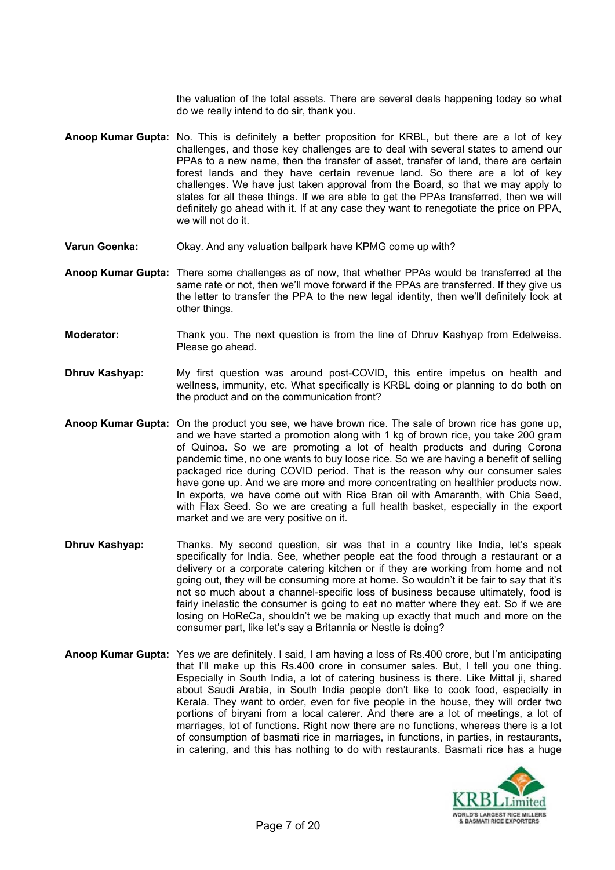the valuation of the total assets. There are several deals happening today so what do we really intend to do sir, thank you.

- **Anoop Kumar Gupta:** No. This is definitely a better proposition for KRBL, but there are a lot of key challenges, and those key challenges are to deal with several states to amend our PPAs to a new name, then the transfer of asset, transfer of land, there are certain forest lands and they have certain revenue land. So there are a lot of key challenges. We have just taken approval from the Board, so that we may apply to states for all these things. If we are able to get the PPAs transferred, then we will definitely go ahead with it. If at any case they want to renegotiate the price on PPA, we will not do it.
- **Varun Goenka:** Okay. And any valuation ballpark have KPMG come up with?
- **Anoop Kumar Gupta:** There some challenges as of now, that whether PPAs would be transferred at the same rate or not, then we'll move forward if the PPAs are transferred. If they give us the letter to transfer the PPA to the new legal identity, then we'll definitely look at other things.
- **Moderator:** Thank you. The next question is from the line of Dhruv Kashyap from Edelweiss. Please go ahead.
- **Dhruv Kashyap:** My first question was around post-COVID, this entire impetus on health and wellness, immunity, etc. What specifically is KRBL doing or planning to do both on the product and on the communication front?
- **Anoop Kumar Gupta:** On the product you see, we have brown rice. The sale of brown rice has gone up, and we have started a promotion along with 1 kg of brown rice, you take 200 gram of Quinoa. So we are promoting a lot of health products and during Corona pandemic time, no one wants to buy loose rice. So we are having a benefit of selling packaged rice during COVID period. That is the reason why our consumer sales have gone up. And we are more and more concentrating on healthier products now. In exports, we have come out with Rice Bran oil with Amaranth, with Chia Seed, with Flax Seed. So we are creating a full health basket, especially in the export market and we are very positive on it.
- **Dhruv Kashyap:** Thanks. My second question, sir was that in a country like India, let's speak specifically for India. See, whether people eat the food through a restaurant or a delivery or a corporate catering kitchen or if they are working from home and not going out, they will be consuming more at home. So wouldn't it be fair to say that it's not so much about a channel-specific loss of business because ultimately, food is fairly inelastic the consumer is going to eat no matter where they eat. So if we are losing on HoReCa, shouldn't we be making up exactly that much and more on the consumer part, like let's say a Britannia or Nestle is doing?
- **Anoop Kumar Gupta:** Yes we are definitely. I said, I am having a loss of Rs.400 crore, but I'm anticipating that I'll make up this Rs.400 crore in consumer sales. But, I tell you one thing. Especially in South India, a lot of catering business is there. Like Mittal ji, shared about Saudi Arabia, in South India people don't like to cook food, especially in Kerala. They want to order, even for five people in the house, they will order two portions of biryani from a local caterer. And there are a lot of meetings, a lot of marriages, lot of functions. Right now there are no functions, whereas there is a lot of consumption of basmati rice in marriages, in functions, in parties, in restaurants, in catering, and this has nothing to do with restaurants. Basmati rice has a huge

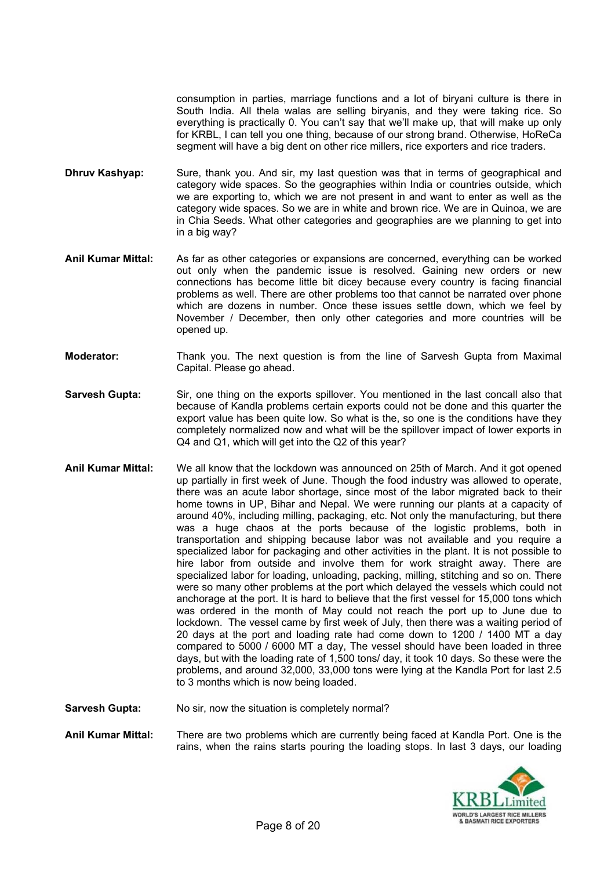consumption in parties, marriage functions and a lot of biryani culture is there in South India. All thela walas are selling biryanis, and they were taking rice. So everything is practically 0. You can't say that we'll make up, that will make up only for KRBL, I can tell you one thing, because of our strong brand. Otherwise, HoReCa segment will have a big dent on other rice millers, rice exporters and rice traders.

- **Dhruv Kashyap:** Sure, thank you. And sir, my last question was that in terms of geographical and category wide spaces. So the geographies within India or countries outside, which we are exporting to, which we are not present in and want to enter as well as the category wide spaces. So we are in white and brown rice. We are in Quinoa, we are in Chia Seeds. What other categories and geographies are we planning to get into in a big way?
- **Anil Kumar Mittal:** As far as other categories or expansions are concerned, everything can be worked out only when the pandemic issue is resolved. Gaining new orders or new connections has become little bit dicey because every country is facing financial problems as well. There are other problems too that cannot be narrated over phone which are dozens in number. Once these issues settle down, which we feel by November / December, then only other categories and more countries will be opened up.
- **Moderator:** Thank you. The next question is from the line of Sarvesh Gupta from Maximal Capital. Please go ahead.
- **Sarvesh Gupta:** Sir, one thing on the exports spillover. You mentioned in the last concall also that because of Kandla problems certain exports could not be done and this quarter the export value has been quite low. So what is the, so one is the conditions have they completely normalized now and what will be the spillover impact of lower exports in Q4 and Q1, which will get into the Q2 of this year?
- **Anil Kumar Mittal:** We all know that the lockdown was announced on 25th of March. And it got opened up partially in first week of June. Though the food industry was allowed to operate, there was an acute labor shortage, since most of the labor migrated back to their home towns in UP, Bihar and Nepal. We were running our plants at a capacity of around 40%, including milling, packaging, etc. Not only the manufacturing, but there was a huge chaos at the ports because of the logistic problems, both in transportation and shipping because labor was not available and you require a specialized labor for packaging and other activities in the plant. It is not possible to hire labor from outside and involve them for work straight away. There are specialized labor for loading, unloading, packing, milling, stitching and so on. There were so many other problems at the port which delayed the vessels which could not anchorage at the port. It is hard to believe that the first vessel for 15,000 tons which was ordered in the month of May could not reach the port up to June due to lockdown. The vessel came by first week of July, then there was a waiting period of 20 days at the port and loading rate had come down to 1200 / 1400 MT a day compared to 5000 / 6000 MT a day, The vessel should have been loaded in three days, but with the loading rate of 1,500 tons/ day, it took 10 days. So these were the problems, and around 32,000, 33,000 tons were lying at the Kandla Port for last 2.5 to 3 months which is now being loaded.

**Sarvesh Gupta:** No sir, now the situation is completely normal?

**Anil Kumar Mittal:** There are two problems which are currently being faced at Kandla Port. One is the rains, when the rains starts pouring the loading stops. In last 3 days, our loading

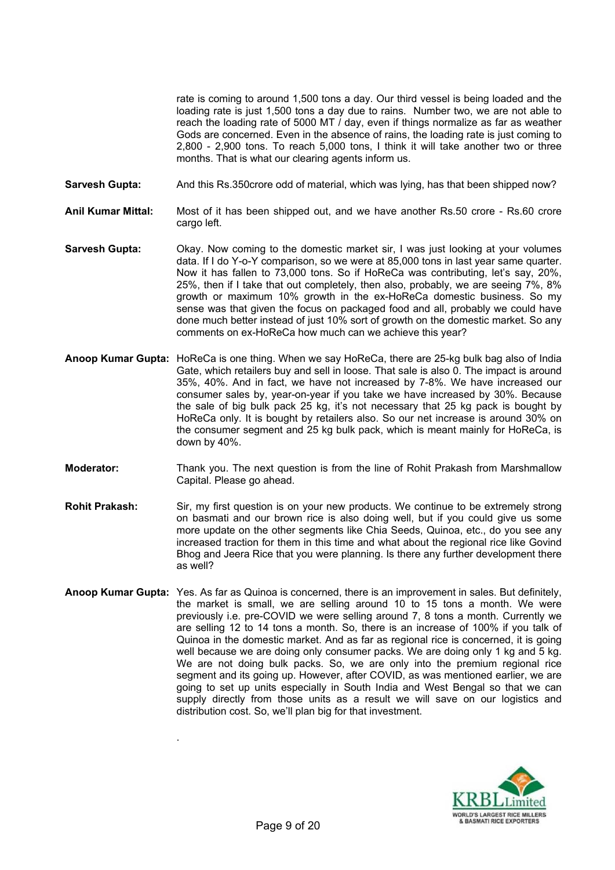rate is coming to around 1,500 tons a day. Our third vessel is being loaded and the loading rate is just 1,500 tons a day due to rains. Number two, we are not able to reach the loading rate of 5000 MT / day, even if things normalize as far as weather Gods are concerned. Even in the absence of rains, the loading rate is just coming to 2,800 - 2,900 tons. To reach 5,000 tons, I think it will take another two or three months. That is what our clearing agents inform us.

- **Sarvesh Gupta:** And this Rs.350crore odd of material, which was lying, has that been shipped now?
- **Anil Kumar Mittal:** Most of it has been shipped out, and we have another Rs.50 crore Rs.60 crore cargo left.
- **Sarvesh Gupta:** Okay. Now coming to the domestic market sir. I was just looking at your volumes data. If I do Y-o-Y comparison, so we were at 85,000 tons in last year same quarter. Now it has fallen to 73,000 tons. So if HoReCa was contributing, let's say, 20%, 25%, then if I take that out completely, then also, probably, we are seeing 7%, 8% growth or maximum 10% growth in the ex-HoReCa domestic business. So my sense was that given the focus on packaged food and all, probably we could have done much better instead of just 10% sort of growth on the domestic market. So any comments on ex-HoReCa how much can we achieve this year?
- **Anoop Kumar Gupta:** HoReCa is one thing. When we say HoReCa, there are 25-kg bulk bag also of India Gate, which retailers buy and sell in loose. That sale is also 0. The impact is around 35%, 40%. And in fact, we have not increased by 7-8%. We have increased our consumer sales by, year-on-year if you take we have increased by 30%. Because the sale of big bulk pack 25 kg, it's not necessary that 25 kg pack is bought by HoReCa only. It is bought by retailers also. So our net increase is around 30% on the consumer segment and 25 kg bulk pack, which is meant mainly for HoReCa, is down by 40%.
- **Moderator:** Thank you. The next question is from the line of Rohit Prakash from Marshmallow Capital. Please go ahead.
- **Rohit Prakash:** Sir, my first question is on your new products. We continue to be extremely strong on basmati and our brown rice is also doing well, but if you could give us some more update on the other segments like Chia Seeds, Quinoa, etc., do you see any increased traction for them in this time and what about the regional rice like Govind Bhog and Jeera Rice that you were planning. Is there any further development there as well?
- **Anoop Kumar Gupta:** Yes. As far as Quinoa is concerned, there is an improvement in sales. But definitely, the market is small, we are selling around 10 to 15 tons a month. We were previously i.e. pre-COVID we were selling around 7, 8 tons a month. Currently we are selling 12 to 14 tons a month. So, there is an increase of 100% if you talk of Quinoa in the domestic market. And as far as regional rice is concerned, it is going well because we are doing only consumer packs. We are doing only 1 kg and 5 kg. We are not doing bulk packs. So, we are only into the premium regional rice segment and its going up. However, after COVID, as was mentioned earlier, we are going to set up units especially in South India and West Bengal so that we can supply directly from those units as a result we will save on our logistics and distribution cost. So, we'll plan big for that investment.



.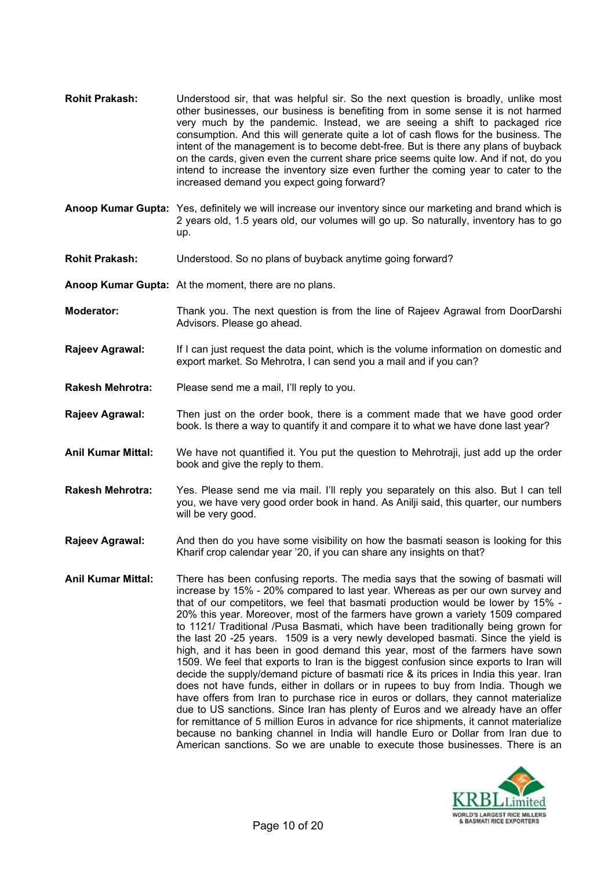- **Rohit Prakash:** Understood sir, that was helpful sir. So the next question is broadly, unlike most other businesses, our business is benefiting from in some sense it is not harmed very much by the pandemic. Instead, we are seeing a shift to packaged rice consumption. And this will generate quite a lot of cash flows for the business. The intent of the management is to become debt-free. But is there any plans of buyback on the cards, given even the current share price seems quite low. And if not, do you intend to increase the inventory size even further the coming year to cater to the increased demand you expect going forward?
- **Anoop Kumar Gupta:** Yes, definitely we will increase our inventory since our marketing and brand which is 2 years old, 1.5 years old, our volumes will go up. So naturally, inventory has to go up.
- **Rohit Prakash:** Understood. So no plans of buyback anytime going forward?
- **Anoop Kumar Gupta:** At the moment, there are no plans.
- **Moderator:** Thank you. The next question is from the line of Rajeev Agrawal from DoorDarshi Advisors. Please go ahead.
- **Rajeev Agrawal:** If I can just request the data point, which is the volume information on domestic and export market. So Mehrotra, I can send you a mail and if you can?
- **Rakesh Mehrotra:** Please send me a mail, I'll reply to you.
- **Rajeev Agrawal:** Then just on the order book, there is a comment made that we have good order book. Is there a way to quantify it and compare it to what we have done last year?
- **Anil Kumar Mittal:** We have not quantified it. You put the question to Mehrotraji, just add up the order book and give the reply to them.
- **Rakesh Mehrotra:** Yes. Please send me via mail. I'll reply you separately on this also. But I can tell you, we have very good order book in hand. As Anilji said, this quarter, our numbers will be very good.
- **Rajeev Agrawal:** And then do you have some visibility on how the basmati season is looking for this Kharif crop calendar year '20, if you can share any insights on that?
- **Anil Kumar Mittal:** There has been confusing reports. The media says that the sowing of basmati will increase by 15% - 20% compared to last year. Whereas as per our own survey and that of our competitors, we feel that basmati production would be lower by 15% - 20% this year. Moreover, most of the farmers have grown a variety 1509 compared to 1121/ Traditional /Pusa Basmati, which have been traditionally being grown for the last 20 -25 years. 1509 is a very newly developed basmati. Since the yield is high, and it has been in good demand this year, most of the farmers have sown 1509. We feel that exports to Iran is the biggest confusion since exports to Iran will decide the supply/demand picture of basmati rice & its prices in India this year. Iran does not have funds, either in dollars or in rupees to buy from India. Though we have offers from Iran to purchase rice in euros or dollars, they cannot materialize due to US sanctions. Since Iran has plenty of Euros and we already have an offer for remittance of 5 million Euros in advance for rice shipments, it cannot materialize because no banking channel in India will handle Euro or Dollar from Iran due to American sanctions. So we are unable to execute those businesses. There is an

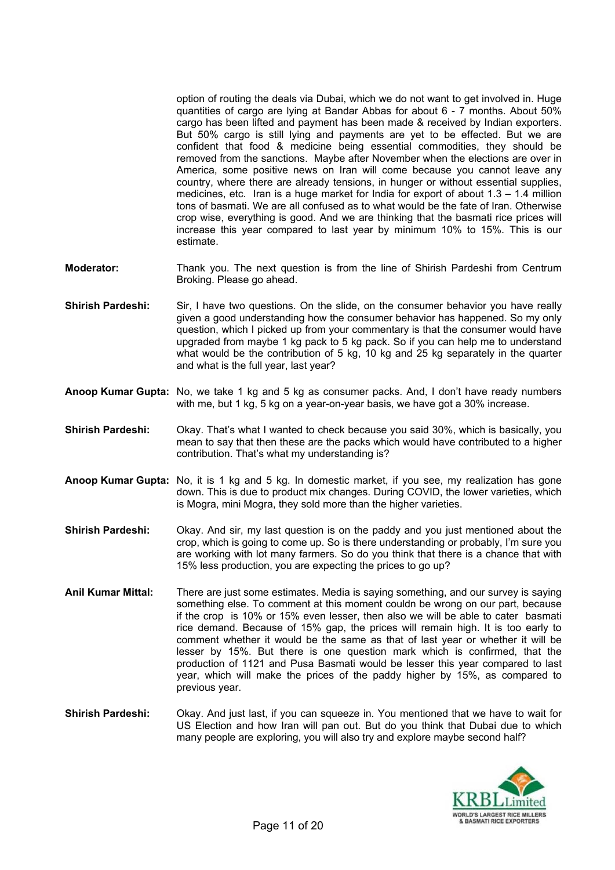option of routing the deals via Dubai, which we do not want to get involved in. Huge quantities of cargo are lying at Bandar Abbas for about 6 - 7 months. About 50% cargo has been lifted and payment has been made & received by Indian exporters. But 50% cargo is still lying and payments are yet to be effected. But we are confident that food & medicine being essential commodities, they should be removed from the sanctions. Maybe after November when the elections are over in America, some positive news on Iran will come because you cannot leave any country, where there are already tensions, in hunger or without essential supplies, medicines, etc. Iran is a huge market for India for export of about 1.3 – 1.4 million tons of basmati. We are all confused as to what would be the fate of Iran. Otherwise crop wise, everything is good. And we are thinking that the basmati rice prices will increase this year compared to last year by minimum 10% to 15%. This is our estimate.

- **Moderator:** Thank you. The next question is from the line of Shirish Pardeshi from Centrum Broking. Please go ahead.
- **Shirish Pardeshi:** Sir, I have two questions. On the slide, on the consumer behavior you have really given a good understanding how the consumer behavior has happened. So my only question, which I picked up from your commentary is that the consumer would have upgraded from maybe 1 kg pack to 5 kg pack. So if you can help me to understand what would be the contribution of 5 kg, 10 kg and 25 kg separately in the quarter and what is the full year, last year?
- **Anoop Kumar Gupta:** No, we take 1 kg and 5 kg as consumer packs. And, I don't have ready numbers with me, but 1 kg, 5 kg on a year-on-year basis, we have got a 30% increase.
- **Shirish Pardeshi:** Okay. That's what I wanted to check because you said 30%, which is basically, you mean to say that then these are the packs which would have contributed to a higher contribution. That's what my understanding is?
- **Anoop Kumar Gupta:** No, it is 1 kg and 5 kg. In domestic market, if you see, my realization has gone down. This is due to product mix changes. During COVID, the lower varieties, which is Mogra, mini Mogra, they sold more than the higher varieties.
- **Shirish Pardeshi:** Okay. And sir, my last question is on the paddy and you just mentioned about the crop, which is going to come up. So is there understanding or probably, I'm sure you are working with lot many farmers. So do you think that there is a chance that with 15% less production, you are expecting the prices to go up?
- **Anil Kumar Mittal:** There are just some estimates. Media is saying something, and our survey is saying something else. To comment at this moment couldn be wrong on our part, because if the crop is 10% or 15% even lesser, then also we will be able to cater basmati rice demand. Because of 15% gap, the prices will remain high. It is too early to comment whether it would be the same as that of last year or whether it will be lesser by 15%. But there is one question mark which is confirmed, that the production of 1121 and Pusa Basmati would be lesser this year compared to last year, which will make the prices of the paddy higher by 15%, as compared to previous year.
- **Shirish Pardeshi:** Okay. And just last, if you can squeeze in. You mentioned that we have to wait for US Election and how Iran will pan out. But do you think that Dubai due to which many people are exploring, you will also try and explore maybe second half?

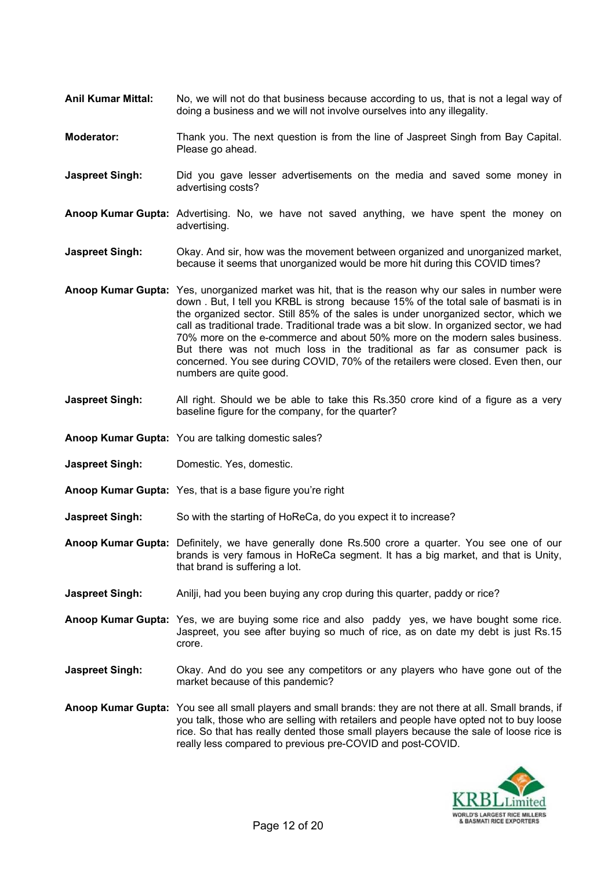- **Anil Kumar Mittal:** No, we will not do that business because according to us, that is not a legal way of doing a business and we will not involve ourselves into any illegality.
- **Moderator:** Thank you. The next question is from the line of Jaspreet Singh from Bay Capital. Please go ahead.
- **Jaspreet Singh:** Did you gave lesser advertisements on the media and saved some money in advertising costs?
- **Anoop Kumar Gupta:** Advertising. No, we have not saved anything, we have spent the money on advertising.
- **Jaspreet Singh:** Okay. And sir, how was the movement between organized and unorganized market, because it seems that unorganized would be more hit during this COVID times?
- **Anoop Kumar Gupta:** Yes, unorganized market was hit, that is the reason why our sales in number were down . But, I tell you KRBL is strong because 15% of the total sale of basmati is in the organized sector. Still 85% of the sales is under unorganized sector, which we call as traditional trade. Traditional trade was a bit slow. In organized sector, we had 70% more on the e-commerce and about 50% more on the modern sales business. But there was not much loss in the traditional as far as consumer pack is concerned. You see during COVID, 70% of the retailers were closed. Even then, our numbers are quite good.
- **Jaspreet Singh:** All right. Should we be able to take this Rs.350 crore kind of a figure as a very baseline figure for the company, for the quarter?
- **Anoop Kumar Gupta:** You are talking domestic sales?
- **Jaspreet Singh:** Domestic. Yes, domestic.
- **Anoop Kumar Gupta:** Yes, that is a base figure you're right
- **Jaspreet Singh:** So with the starting of HoReCa, do you expect it to increase?
- **Anoop Kumar Gupta:** Definitely, we have generally done Rs.500 crore a quarter. You see one of our brands is very famous in HoReCa segment. It has a big market, and that is Unity, that brand is suffering a lot.
- **Jaspreet Singh:** Anilji, had you been buying any crop during this quarter, paddy or rice?
- **Anoop Kumar Gupta:** Yes, we are buying some rice and also paddy yes, we have bought some rice. Jaspreet, you see after buying so much of rice, as on date my debt is just Rs.15 crore.
- **Jaspreet Singh:** Okay. And do you see any competitors or any players who have gone out of the market because of this pandemic?
- **Anoop Kumar Gupta:** You see all small players and small brands: they are not there at all. Small brands, if you talk, those who are selling with retailers and people have opted not to buy loose rice. So that has really dented those small players because the sale of loose rice is really less compared to previous pre-COVID and post-COVID.

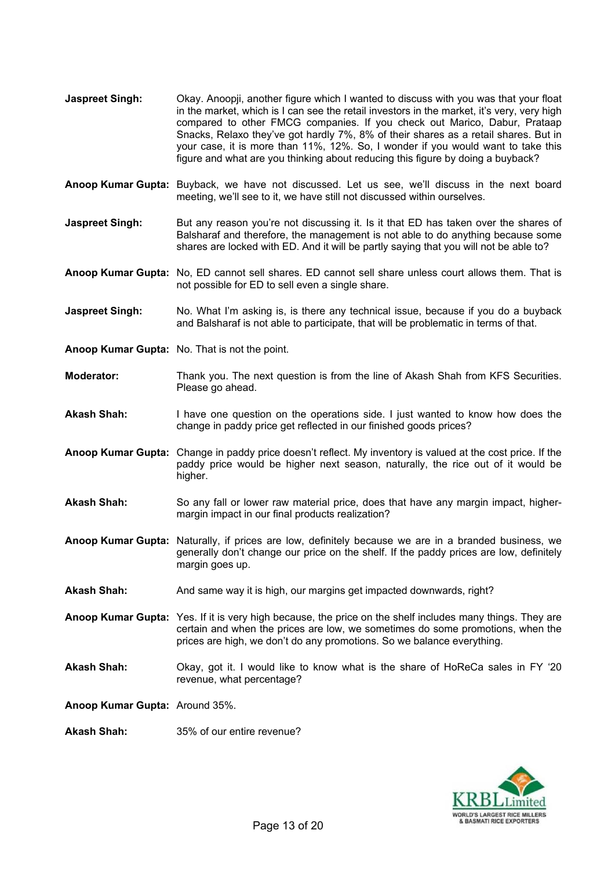- **Jaspreet Singh:** Okay. Anoopji, another figure which I wanted to discuss with you was that your float in the market, which is I can see the retail investors in the market, it's very, very high compared to other FMCG companies. If you check out Marico, Dabur, Prataap Snacks, Relaxo they've got hardly 7%, 8% of their shares as a retail shares. But in your case, it is more than 11%, 12%. So, I wonder if you would want to take this figure and what are you thinking about reducing this figure by doing a buyback?
- **Anoop Kumar Gupta:** Buyback, we have not discussed. Let us see, we'll discuss in the next board meeting, we'll see to it, we have still not discussed within ourselves.
- **Jaspreet Singh:** But any reason you're not discussing it. Is it that ED has taken over the shares of Balsharaf and therefore, the management is not able to do anything because some shares are locked with ED. And it will be partly saying that you will not be able to?
- **Anoop Kumar Gupta:** No, ED cannot sell shares. ED cannot sell share unless court allows them. That is not possible for ED to sell even a single share.
- **Jaspreet Singh:** No. What I'm asking is, is there any technical issue, because if you do a buyback and Balsharaf is not able to participate, that will be problematic in terms of that.
- **Anoop Kumar Gupta:** No. That is not the point.
- **Moderator:** Thank you. The next question is from the line of Akash Shah from KFS Securities. Please go ahead.
- **Akash Shah:** I have one question on the operations side. I just wanted to know how does the change in paddy price get reflected in our finished goods prices?
- **Anoop Kumar Gupta:** Change in paddy price doesn't reflect. My inventory is valued at the cost price. If the paddy price would be higher next season, naturally, the rice out of it would be higher.
- **Akash Shah:** So any fall or lower raw material price, does that have any margin impact, highermargin impact in our final products realization?
- **Anoop Kumar Gupta:** Naturally, if prices are low, definitely because we are in a branded business, we generally don't change our price on the shelf. If the paddy prices are low, definitely margin goes up.
- **Akash Shah:** And same way it is high, our margins get impacted downwards, right?
- **Anoop Kumar Gupta:** Yes. If it is very high because, the price on the shelf includes many things. They are certain and when the prices are low, we sometimes do some promotions, when the prices are high, we don't do any promotions. So we balance everything.
- **Akash Shah:** Okay, got it. I would like to know what is the share of HoReCa sales in FY '20 revenue, what percentage?

**Anoop Kumar Gupta:** Around 35%.

**Akash Shah:** 35% of our entire revenue?

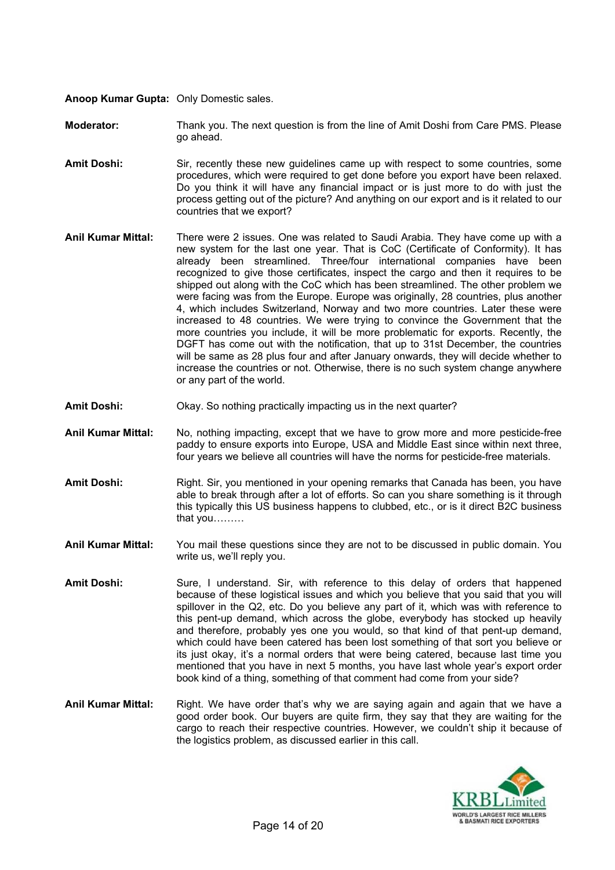**Anoop Kumar Gupta:** Only Domestic sales.

**Moderator:** Thank you. The next question is from the line of Amit Doshi from Care PMS. Please go ahead.

- Amit Doshi: Sir, recently these new guidelines came up with respect to some countries, some procedures, which were required to get done before you export have been relaxed. Do you think it will have any financial impact or is just more to do with just the process getting out of the picture? And anything on our export and is it related to our countries that we export?
- **Anil Kumar Mittal:** There were 2 issues. One was related to Saudi Arabia. They have come up with a new system for the last one year. That is CoC (Certificate of Conformity). It has already been streamlined. Three/four international companies have been recognized to give those certificates, inspect the cargo and then it requires to be shipped out along with the CoC which has been streamlined. The other problem we were facing was from the Europe. Europe was originally, 28 countries, plus another 4, which includes Switzerland, Norway and two more countries. Later these were increased to 48 countries. We were trying to convince the Government that the more countries you include, it will be more problematic for exports. Recently, the DGFT has come out with the notification, that up to 31st December, the countries will be same as 28 plus four and after January onwards, they will decide whether to increase the countries or not. Otherwise, there is no such system change anywhere or any part of the world.
- **Amit Doshi:** Okay. So nothing practically impacting us in the next quarter?
- **Anil Kumar Mittal:** No, nothing impacting, except that we have to grow more and more pesticide-free paddy to ensure exports into Europe, USA and Middle East since within next three, four years we believe all countries will have the norms for pesticide-free materials.
- Amit Doshi: Right. Sir, you mentioned in your opening remarks that Canada has been, you have able to break through after a lot of efforts. So can you share something is it through this typically this US business happens to clubbed, etc., or is it direct B2C business that you………
- **Anil Kumar Mittal:** You mail these questions since they are not to be discussed in public domain. You write us, we'll reply you.
- **Amit Doshi:** Sure, I understand. Sir, with reference to this delay of orders that happened because of these logistical issues and which you believe that you said that you will spillover in the Q2, etc. Do you believe any part of it, which was with reference to this pent-up demand, which across the globe, everybody has stocked up heavily and therefore, probably yes one you would, so that kind of that pent-up demand, which could have been catered has been lost something of that sort you believe or its just okay, it's a normal orders that were being catered, because last time you mentioned that you have in next 5 months, you have last whole year's export order book kind of a thing, something of that comment had come from your side?
- **Anil Kumar Mittal:** Right. We have order that's why we are saying again and again that we have a good order book. Our buyers are quite firm, they say that they are waiting for the cargo to reach their respective countries. However, we couldn't ship it because of the logistics problem, as discussed earlier in this call.

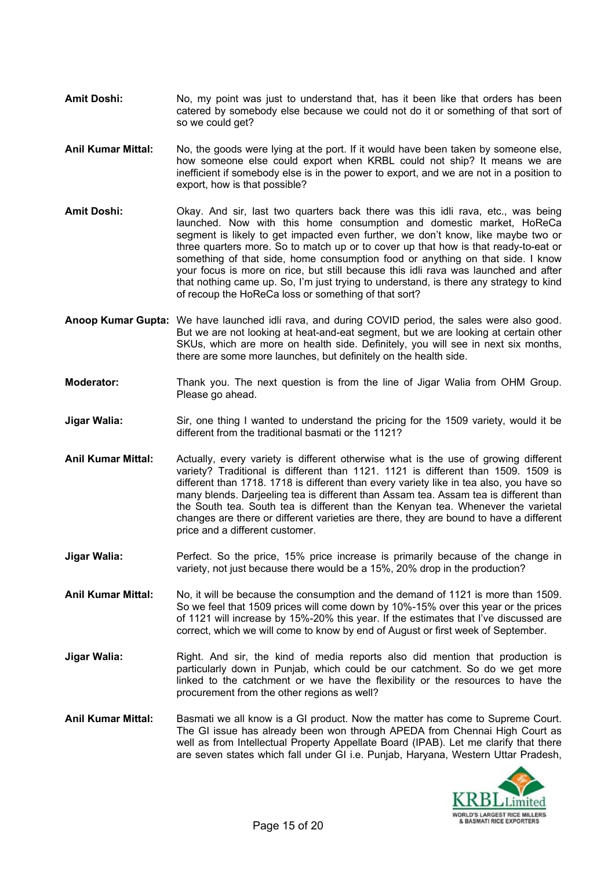- Amit Doshi: No, my point was just to understand that, has it been like that orders has been catered by somebody else because we could not do it or something of that sort of so we could get?
- **Anil Kumar Mittal:** No, the goods were lying at the port. If it would have been taken by someone else, how someone else could export when KRBL could not ship? It means we are inefficient if somebody else is in the power to export, and we are not in a position to export, how is that possible?
- **Amit Doshi:** Okay. And sir, last two quarters back there was this idli rava, etc., was being launched. Now with this home consumption and domestic market, HoReCa segment is likely to get impacted even further, we don't know, like maybe two or three quarters more. So to match up or to cover up that how is that ready-to-eat or something of that side, home consumption food or anything on that side. I know your focus is more on rice, but still because this idli rava was launched and after that nothing came up. So, I'm just trying to understand, is there any strategy to kind of recoup the HoReCa loss or something of that sort?
- **Anoop Kumar Gupta:** We have launched idli rava, and during COVID period, the sales were also good. But we are not looking at heat-and-eat segment, but we are looking at certain other SKUs, which are more on health side. Definitely, you will see in next six months, there are some more launches, but definitely on the health side.
- **Moderator:** Thank you. The next question is from the line of Jigar Walia from OHM Group. Please go ahead.
- **Jigar Walia:** Sir, one thing I wanted to understand the pricing for the 1509 variety, would it be different from the traditional basmati or the 1121?
- **Anil Kumar Mittal:** Actually, every variety is different otherwise what is the use of growing different variety? Traditional is different than 1121. 1121 is different than 1509. 1509 is different than 1718. 1718 is different than every variety like in tea also, you have so many blends. Darjeeling tea is different than Assam tea. Assam tea is different than the South tea. South tea is different than the Kenyan tea. Whenever the varietal changes are there or different varieties are there, they are bound to have a different price and a different customer.
- **Jigar Walia:** Perfect. So the price, 15% price increase is primarily because of the change in variety, not just because there would be a 15%, 20% drop in the production?
- **Anil Kumar Mittal:** No, it will be because the consumption and the demand of 1121 is more than 1509. So we feel that 1509 prices will come down by 10%-15% over this year or the prices of 1121 will increase by 15%-20% this year. If the estimates that I've discussed are correct, which we will come to know by end of August or first week of September.
- **Jigar Walia:** Right. And sir, the kind of media reports also did mention that production is particularly down in Punjab, which could be our catchment. So do we get more linked to the catchment or we have the flexibility or the resources to have the procurement from the other regions as well?
- **Anil Kumar Mittal:** Basmati we all know is a GI product. Now the matter has come to Supreme Court. The GI issue has already been won through APEDA from Chennai High Court as well as from Intellectual Property Appellate Board (IPAB). Let me clarify that there are seven states which fall under GI i.e. Punjab, Haryana, Western Uttar Pradesh,

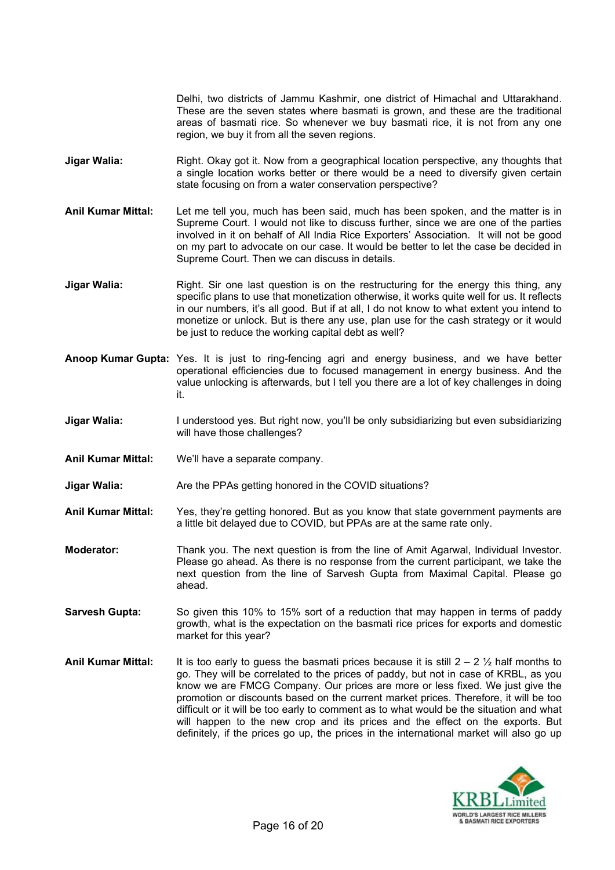Delhi, two districts of Jammu Kashmir, one district of Himachal and Uttarakhand. These are the seven states where basmati is grown, and these are the traditional areas of basmati rice. So whenever we buy basmati rice, it is not from any one region, we buy it from all the seven regions.

- **Jigar Walia:** Right. Okay got it. Now from a geographical location perspective, any thoughts that a single location works better or there would be a need to diversify given certain state focusing on from a water conservation perspective?
- **Anil Kumar Mittal:** Let me tell you, much has been said, much has been spoken, and the matter is in Supreme Court. I would not like to discuss further, since we are one of the parties involved in it on behalf of All India Rice Exporters' Association. It will not be good on my part to advocate on our case. It would be better to let the case be decided in Supreme Court. Then we can discuss in details.
- **Jigar Walia:** Right. Sir one last question is on the restructuring for the energy this thing, any specific plans to use that monetization otherwise, it works quite well for us. It reflects in our numbers, it's all good. But if at all, I do not know to what extent you intend to monetize or unlock. But is there any use, plan use for the cash strategy or it would be just to reduce the working capital debt as well?
- **Anoop Kumar Gupta:** Yes. It is just to ring-fencing agri and energy business, and we have better operational efficiencies due to focused management in energy business. And the value unlocking is afterwards, but I tell you there are a lot of key challenges in doing it.
- **Jigar Walia:** I understood yes. But right now, you'll be only subsidiarizing but even subsidiarizing will have those challenges?
- **Anil Kumar Mittal:** We'll have a separate company.
- **Jigar Walia:** Are the PPAs getting honored in the COVID situations?
- **Anil Kumar Mittal:** Yes, they're getting honored. But as you know that state government payments are a little bit delayed due to COVID, but PPAs are at the same rate only.
- **Moderator:** Thank you. The next question is from the line of Amit Agarwal, Individual Investor. Please go ahead. As there is no response from the current participant, we take the next question from the line of Sarvesh Gupta from Maximal Capital. Please go ahead.
- **Sarvesh Gupta:** So given this 10% to 15% sort of a reduction that may happen in terms of paddy growth, what is the expectation on the basmati rice prices for exports and domestic market for this year?
- **Anil Kumar Mittal:** It is too early to guess the basmati prices because it is still 2 2 ½ half months to go. They will be correlated to the prices of paddy, but not in case of KRBL, as you know we are FMCG Company. Our prices are more or less fixed. We just give the promotion or discounts based on the current market prices. Therefore, it will be too difficult or it will be too early to comment as to what would be the situation and what will happen to the new crop and its prices and the effect on the exports. But definitely, if the prices go up, the prices in the international market will also go up

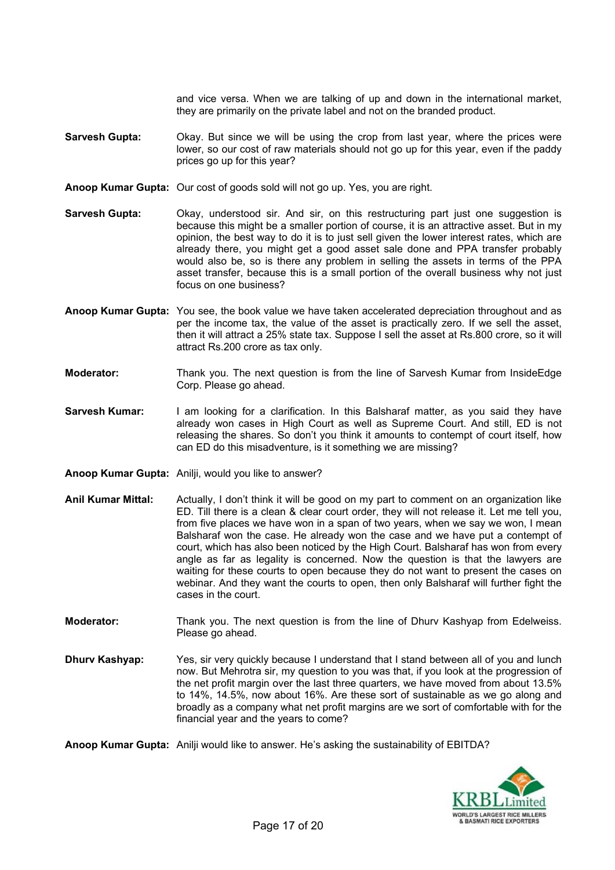and vice versa. When we are talking of up and down in the international market, they are primarily on the private label and not on the branded product.

- **Sarvesh Gupta:** Okay. But since we will be using the crop from last year, where the prices were lower, so our cost of raw materials should not go up for this year, even if the paddy prices go up for this year?
- **Anoop Kumar Gupta:** Our cost of goods sold will not go up. Yes, you are right.
- **Sarvesh Gupta:** Okay, understood sir. And sir, on this restructuring part just one suggestion is because this might be a smaller portion of course, it is an attractive asset. But in my opinion, the best way to do it is to just sell given the lower interest rates, which are already there, you might get a good asset sale done and PPA transfer probably would also be, so is there any problem in selling the assets in terms of the PPA asset transfer, because this is a small portion of the overall business why not just focus on one business?
- **Anoop Kumar Gupta:** You see, the book value we have taken accelerated depreciation throughout and as per the income tax, the value of the asset is practically zero. If we sell the asset, then it will attract a 25% state tax. Suppose I sell the asset at Rs.800 crore, so it will attract Rs.200 crore as tax only.
- **Moderator:** Thank you. The next question is from the line of Sarvesh Kumar from InsideEdge Corp. Please go ahead.
- **Sarvesh Kumar:** I am looking for a clarification. In this Balsharaf matter, as you said they have already won cases in High Court as well as Supreme Court. And still, ED is not releasing the shares. So don't you think it amounts to contempt of court itself, how can ED do this misadventure, is it something we are missing?
- **Anoop Kumar Gupta:** Anilji, would you like to answer?
- **Anil Kumar Mittal:** Actually, I don't think it will be good on my part to comment on an organization like ED. Till there is a clean & clear court order, they will not release it. Let me tell you, from five places we have won in a span of two years, when we say we won, I mean Balsharaf won the case. He already won the case and we have put a contempt of court, which has also been noticed by the High Court. Balsharaf has won from every angle as far as legality is concerned. Now the question is that the lawyers are waiting for these courts to open because they do not want to present the cases on webinar. And they want the courts to open, then only Balsharaf will further fight the cases in the court.
- **Moderator:** Thank you. The next question is from the line of Dhurv Kashyap from Edelweiss. Please go ahead.
- **Dhurv Kashyap:** Yes, sir very quickly because I understand that I stand between all of you and lunch now. But Mehrotra sir, my question to you was that, if you look at the progression of the net profit margin over the last three quarters, we have moved from about 13.5% to 14%, 14.5%, now about 16%. Are these sort of sustainable as we go along and broadly as a company what net profit margins are we sort of comfortable with for the financial year and the years to come?

**Anoop Kumar Gupta:** Anilji would like to answer. He's asking the sustainability of EBITDA?

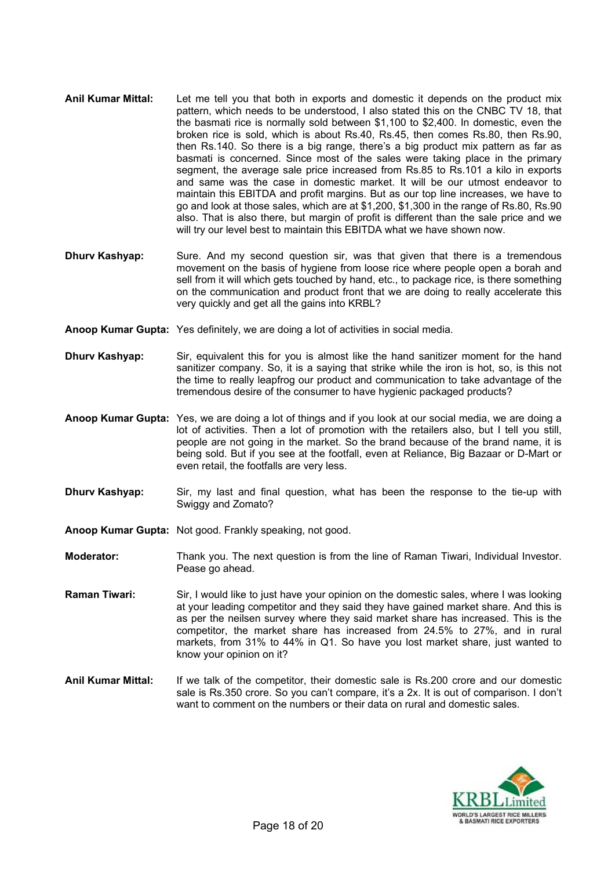- **Anil Kumar Mittal:** Let me tell you that both in exports and domestic it depends on the product mix pattern, which needs to be understood, I also stated this on the CNBC TV 18, that the basmati rice is normally sold between \$1,100 to \$2,400. In domestic, even the broken rice is sold, which is about Rs.40, Rs.45, then comes Rs.80, then Rs.90, then Rs.140. So there is a big range, there's a big product mix pattern as far as basmati is concerned. Since most of the sales were taking place in the primary segment, the average sale price increased from Rs.85 to Rs.101 a kilo in exports and same was the case in domestic market. It will be our utmost endeavor to maintain this EBITDA and profit margins. But as our top line increases, we have to go and look at those sales, which are at \$1,200, \$1,300 in the range of Rs.80, Rs.90 also. That is also there, but margin of profit is different than the sale price and we will try our level best to maintain this EBITDA what we have shown now.
- **Dhurv Kashyap:** Sure. And my second question sir, was that given that there is a tremendous movement on the basis of hygiene from loose rice where people open a borah and sell from it will which gets touched by hand, etc., to package rice, is there something on the communication and product front that we are doing to really accelerate this very quickly and get all the gains into KRBL?
- **Anoop Kumar Gupta:** Yes definitely, we are doing a lot of activities in social media.
- **Dhurv Kashyap:** Sir, equivalent this for you is almost like the hand sanitizer moment for the hand sanitizer company. So, it is a saying that strike while the iron is hot, so, is this not the time to really leapfrog our product and communication to take advantage of the tremendous desire of the consumer to have hygienic packaged products?
- **Anoop Kumar Gupta:** Yes, we are doing a lot of things and if you look at our social media, we are doing a lot of activities. Then a lot of promotion with the retailers also, but I tell you still, people are not going in the market. So the brand because of the brand name, it is being sold. But if you see at the footfall, even at Reliance, Big Bazaar or D-Mart or even retail, the footfalls are very less.
- **Dhurv Kashyap:** Sir, my last and final question, what has been the response to the tie-up with Swiggy and Zomato?
- **Anoop Kumar Gupta:** Not good. Frankly speaking, not good.
- **Moderator:** Thank you. The next question is from the line of Raman Tiwari, Individual Investor. Pease go ahead.
- **Raman Tiwari:** Sir, I would like to just have your opinion on the domestic sales, where I was looking at your leading competitor and they said they have gained market share. And this is as per the neilsen survey where they said market share has increased. This is the competitor, the market share has increased from 24.5% to 27%, and in rural markets, from 31% to 44% in Q1. So have you lost market share, just wanted to know your opinion on it?
- **Anil Kumar Mittal:** If we talk of the competitor, their domestic sale is Rs.200 crore and our domestic sale is Rs.350 crore. So you can't compare, it's a 2x. It is out of comparison. I don't want to comment on the numbers or their data on rural and domestic sales.

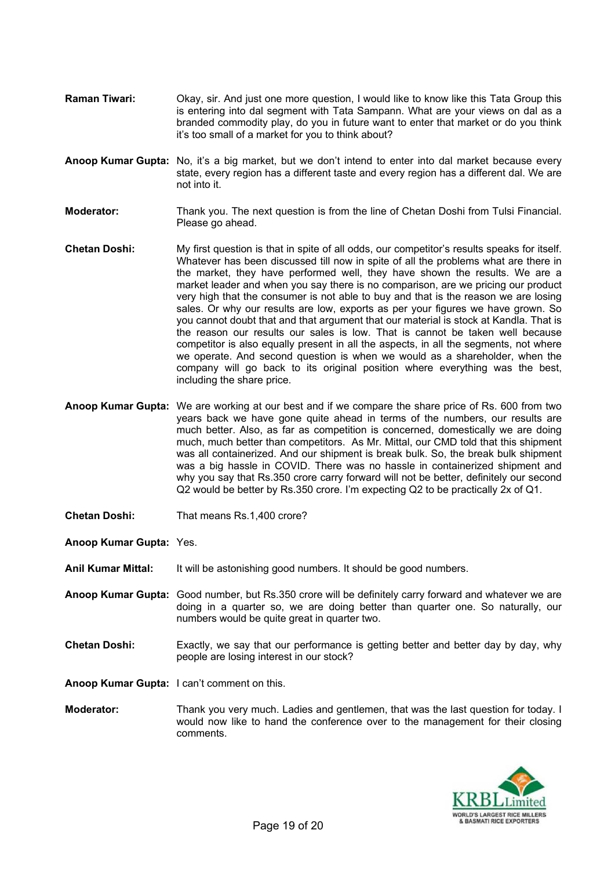- **Raman Tiwari:** Okay, sir. And just one more question, I would like to know like this Tata Group this is entering into dal segment with Tata Sampann. What are your views on dal as a branded commodity play, do you in future want to enter that market or do you think it's too small of a market for you to think about?
- **Anoop Kumar Gupta:** No, it's a big market, but we don't intend to enter into dal market because every state, every region has a different taste and every region has a different dal. We are not into it.
- **Moderator:** Thank you. The next question is from the line of Chetan Doshi from Tulsi Financial. Please go ahead.
- **Chetan Doshi:** My first question is that in spite of all odds, our competitor's results speaks for itself. Whatever has been discussed till now in spite of all the problems what are there in the market, they have performed well, they have shown the results. We are a market leader and when you say there is no comparison, are we pricing our product very high that the consumer is not able to buy and that is the reason we are losing sales. Or why our results are low, exports as per your figures we have grown. So you cannot doubt that and that argument that our material is stock at Kandla. That is the reason our results our sales is low. That is cannot be taken well because competitor is also equally present in all the aspects, in all the segments, not where we operate. And second question is when we would as a shareholder, when the company will go back to its original position where everything was the best, including the share price.
- **Anoop Kumar Gupta:** We are working at our best and if we compare the share price of Rs. 600 from two years back we have gone quite ahead in terms of the numbers, our results are much better. Also, as far as competition is concerned, domestically we are doing much, much better than competitors. As Mr. Mittal, our CMD told that this shipment was all containerized. And our shipment is break bulk. So, the break bulk shipment was a big hassle in COVID. There was no hassle in containerized shipment and why you say that Rs.350 crore carry forward will not be better, definitely our second Q2 would be better by Rs.350 crore. I'm expecting Q2 to be practically 2x of Q1.
- **Chetan Doshi:** That means Rs.1,400 crore?
- **Anoop Kumar Gupta:** Yes.
- **Anil Kumar Mittal:** It will be astonishing good numbers. It should be good numbers.
- **Anoop Kumar Gupta:** Good number, but Rs.350 crore will be definitely carry forward and whatever we are doing in a quarter so, we are doing better than quarter one. So naturally, our numbers would be quite great in quarter two.
- **Chetan Doshi:** Exactly, we say that our performance is getting better and better day by day, why people are losing interest in our stock?
- **Anoop Kumar Gupta:** I can't comment on this.
- **Moderator:** Thank you very much. Ladies and gentlemen, that was the last question for today. I would now like to hand the conference over to the management for their closing comments.